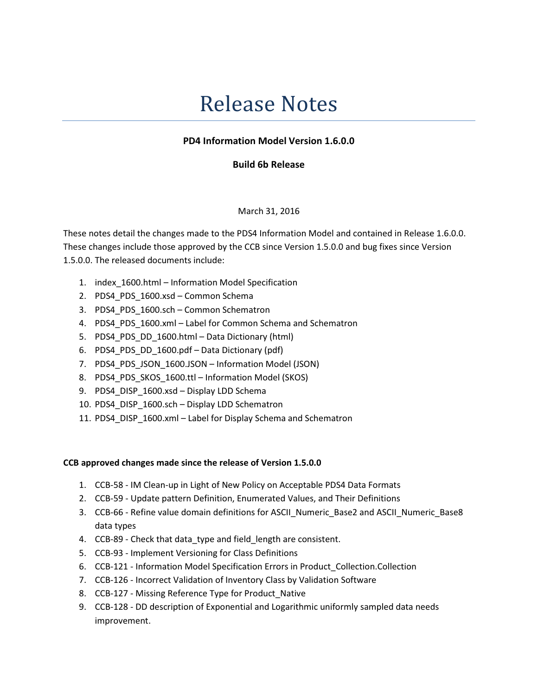# Release Notes

## PD4 Information Model Version 1.6.0.0

### Build 6b Release

#### March 31, 2016

These notes detail the changes made to the PDS4 Information Model and contained in Release 1.6.0.0. These changes include those approved by the CCB since Version 1.5.0.0 and bug fixes since Version 1.5.0.0. The released documents include:

- 1. index\_1600.html Information Model Specification
- 2. PDS4 PDS 1600.xsd Common Schema
- 3. PDS4 PDS 1600.sch Common Schematron
- 4. PDS4\_PDS\_1600.xml Label for Common Schema and Schematron
- 5. PDS4\_PDS\_DD\_1600.html Data Dictionary (html)
- 6. PDS4\_PDS\_DD\_1600.pdf Data Dictionary (pdf)
- 7. PDS4 PDS JSON 1600.JSON Information Model (JSON)
- 8. PDS4 PDS SKOS 1600.ttl Information Model (SKOS)
- 9. PDS4\_DISP\_1600.xsd Display LDD Schema
- 10. PDS4\_DISP\_1600.sch Display LDD Schematron
- 11. PDS4\_DISP\_1600.xml Label for Display Schema and Schematron

#### CCB approved changes made since the release of Version 1.5.0.0

- 1. CCB-58 IM Clean-up in Light of New Policy on Acceptable PDS4 Data Formats
- 2. CCB-59 Update pattern Definition, Enumerated Values, and Their Definitions
- 3. CCB-66 Refine value domain definitions for ASCII Numeric Base2 and ASCII Numeric Base8 data types
- 4. CCB-89 Check that data\_type and field\_length are consistent.
- 5. CCB-93 Implement Versioning for Class Definitions
- 6. CCB-121 Information Model Specification Errors in Product\_Collection.Collection
- 7. CCB-126 Incorrect Validation of Inventory Class by Validation Software
- 8. CCB-127 Missing Reference Type for Product\_Native
- 9. CCB-128 DD description of Exponential and Logarithmic uniformly sampled data needs improvement.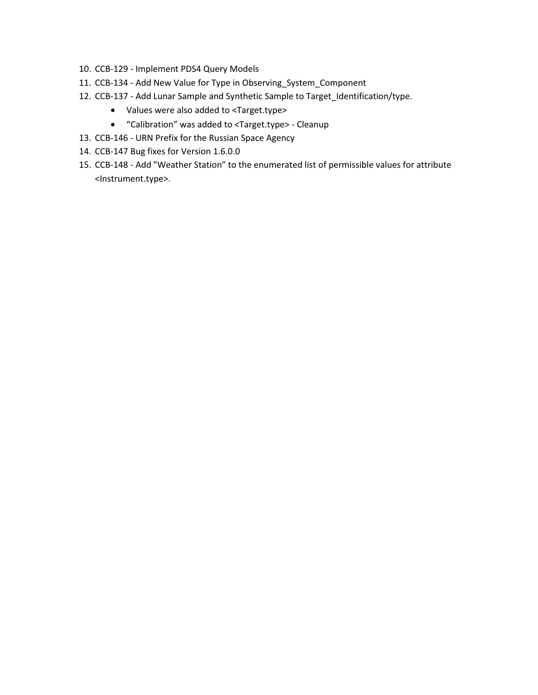- 10. CCB-129 Implement PDS4 Query Models
- 11. CCB-134 Add New Value for Type in Observing\_System\_Component
- 12. CCB-137 Add Lunar Sample and Synthetic Sample to Target\_Identification/type.
	- Values were also added to <Target.type>
	- "Calibration" was added to <Target.type> Cleanup
- 13. CCB-146 URN Prefix for the Russian Space Agency
- 14. CCB-147 Bug fixes for Version 1.6.0.0
- 15. CCB-148 Add "Weather Station" to the enumerated list of permissible values for attribute <Instrument.type>.